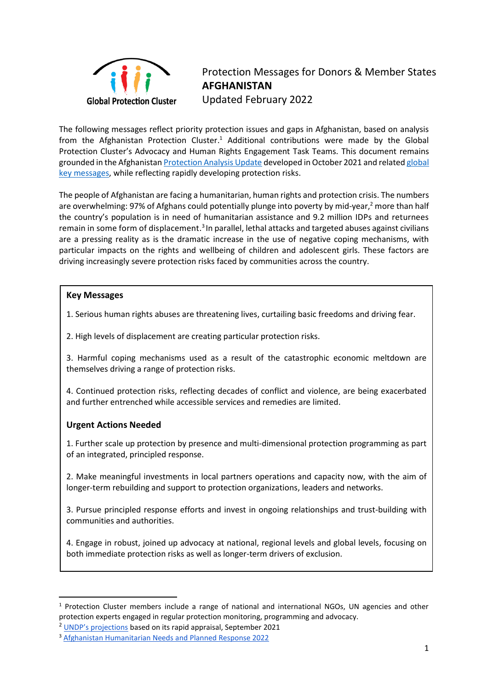

Protection Messages for Donors & Member States **AFGHANISTAN**  Updated February 2022

The following messages reflect priority protection issues and gaps in Afghanistan, based on analysis from the Afghanistan Protection Cluster.<sup>1</sup> Additional contributions were made by the Global Protection Cluster's Advocacy and Human Rights Engagement Task Teams. This document remains grounded in the Afghanistan [Protection Analysis Update](https://www.globalprotectioncluster.org/wp-content/uploads/AFG_Protection-Analysis-Update_Q3_Final-2.pdf) developed in October 2021 and relate[d global](https://www.globalprotectioncluster.org/wp-content/uploads/GPC_Afghanistan-Protection-Messages_Nov-2021.pdf)  [key messages,](https://www.globalprotectioncluster.org/wp-content/uploads/GPC_Afghanistan-Protection-Messages_Nov-2021.pdf) while reflecting rapidly developing protection risks.

The people of Afghanistan are facing a humanitarian, human rights and protection crisis. The numbers are overwhelming: 97% of Afghans could potentially plunge into poverty by mid-year, $^2$  more than half the country's population is in need of humanitarian assistance and 9.2 million IDPs and returnees remain in some form of displacement.<sup>3</sup> In parallel, lethal attacks and targeted abuses against civilians are a pressing reality as is the dramatic increase in the use of negative coping mechanisms, with particular impacts on the rights and wellbeing of children and adolescent girls. These factors are driving increasingly severe protection risks faced by communities across the country.

## **Key Messages**

1. Serious human rights abuses are threatening lives, curtailing basic freedoms and driving fear.

2. High levels of displacement are creating particular protection risks.

3. Harmful coping mechanisms used as a result of the catastrophic economic meltdown are themselves driving a range of protection risks.

4. Continued protection risks, reflecting decades of conflict and violence, are being exacerbated and further entrenched while accessible services and remedies are limited.

## **Urgent Actions Needed**

1. Further scale up protection by presence and multi-dimensional protection programming as part of an integrated, principled response.

2. Make meaningful investments in local partners operations and capacity now, with the aim of longer-term rebuilding and support to protection organizations, leaders and networks.

3. Pursue principled response efforts and invest in ongoing relationships and trust-building with communities and authorities.

4. Engage in robust, joined up advocacy at national, regional levels and global levels, focusing on both immediate protection risks as well as longer-term drivers of exclusion.

 $1$  Protection Cluster members include a range of national and international NGOs, UN agencies and other protection experts engaged in regular protection monitoring, programming and advocacy.

<sup>2</sup> [UNDP's projections](https://www.undp.org/press-releases/97-percent-afghans-could-plunge-poverty-mid-2022-says-undp?utm_source=EN&utm_medium=GSR&utm_content=US_UNDP_PaidSearch_Brand_English&utm_campaign=CENTRAL&c_src=CENTRAL&c_src2=GSR&gclid=Cj0KCQiA_8OPBhDtARIsAKQu0gbYPGcwXqfENzPFMHaJSOryaoWTo17Dn8gr4vgtU-gXBntQI9o3MVkaArtpEALw_wcB) based on its rapid appraisal, September 2021

<sup>3</sup> Afghanistan Humanitarian Needs and Planned Response 2022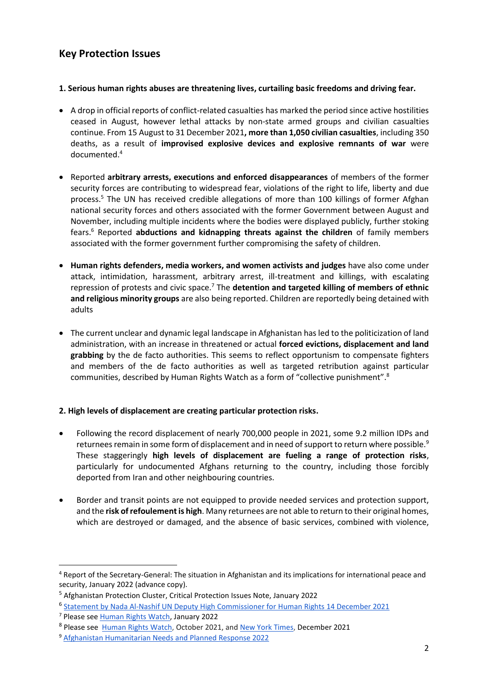# **Key Protection Issues**

## **1. Serious human rights abuses are threatening lives, curtailing basic freedoms and driving fear.**

- A drop in official reports of conflict-related casualties has marked the period since active hostilities ceased in August, however lethal attacks by non-state armed groups and civilian casualties continue. From 15 August to 31 December 2021**, more than 1,050 civilian casualties**, including 350 deaths, as a result of **improvised explosive devices and explosive remnants of war** were documented.<sup>4</sup>
- Reported **arbitrary arrests, executions and enforced disappearances** of members of the former security forces are contributing to widespread fear, violations of the right to life, liberty and due process.<sup>5</sup> The UN has received credible allegations of more than 100 killings of former Afghan national security forces and others associated with the former Government between August and November, including multiple incidents where the bodies were displayed publicly, further stoking fears.<sup>6</sup> Reported **abductions and kidnapping threats against the children** of family members associated with the former government further compromising the safety of children.
- **Human rights defenders, media workers, and women activists and judges** have also come under attack, intimidation, harassment, arbitrary arrest, ill-treatment and killings, with escalating repression of protests and civic space.<sup>7</sup> The **detention and targeted killing of members of ethnic and religious minority groups** are also being reported. Children are reportedly being detained with adults
- The current unclear and dynamic legal landscape in Afghanistan has led to the politicization of land administration, with an increase in threatened or actual **forced evictions, displacement and land grabbing** by the de facto authorities. This seems to reflect opportunism to compensate fighters and members of the de facto authorities as well as targeted retribution against particular communities, described by Human Rights Watch as a form of "collective punishment".<sup>8</sup>

## **2. High levels of displacement are creating particular protection risks.**

- Following the record displacement of nearly 700,000 people in 2021, some 9.2 million IDPs and returnees remain in some form of displacement and in need of support to return where possible.<sup>9</sup> These staggeringly **high levels of displacement are fueling a range of protection risks**, particularly for undocumented Afghans returning to the country, including those forcibly deported from Iran and other neighbouring countries.
- Border and transit points are not equipped to provide needed services and protection support, and the **risk of refoulementis high**. Many returnees are not able to return to their original homes, which are destroyed or damaged, and the absence of basic services, combined with violence,

<sup>4</sup> [Report of the Secretary-General: The situation in Afghanistan and its implications for international peace and](https://unama.unmissions.org/sites/default/files/sg_report_on_afghanistan_september_2021.pdf)  [security,](https://unama.unmissions.org/sites/default/files/sg_report_on_afghanistan_september_2021.pdf) January 2022 (advance copy).

<sup>5</sup> Afghanistan Protection Cluster, Critical Protection Issues Note, January 2022

<sup>&</sup>lt;sup>6</sup> [Statement by Nada Al-Nashif UN Deputy High Commissioner for](https://www.ohchr.org/EN/NewsEvents/Pages/DisplayNews.aspx?NewsID=27960&LangID=E) Human Rights 14 December 2021

<sup>7</sup> Please see [Human Rights Watch,](https://www.hrw.org/news/2022/01/18/taliban-use-harsh-tactics-crush-afghan-womens-rights-protest) January 2022

<sup>&</sup>lt;sup>8</sup> Please see **Human Rights Watch, October 2021, and New York Times**, December 2021

<sup>9</sup> Afghanistan Humanitarian Needs and Planned Response 2022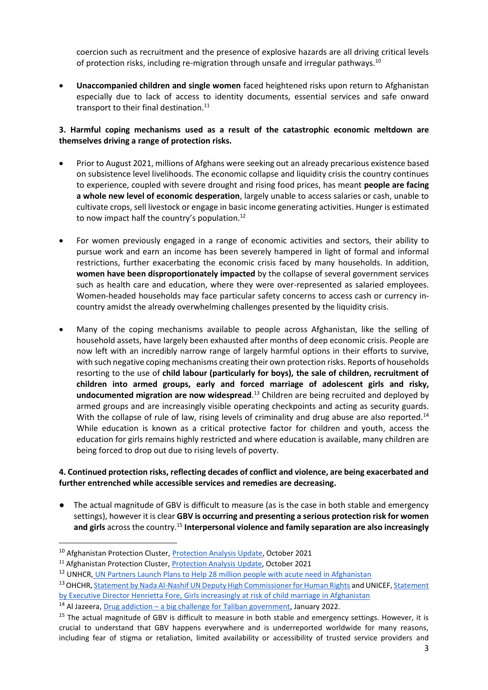coercion such as recruitment and the presence of explosive hazards are all driving critical levels of protection risks, including re-migration through unsafe and irregular pathways.<sup>10</sup>

• **Unaccompanied children and single women** faced heightened risks upon return to Afghanistan especially due to lack of access to identity documents, essential services and safe onward transport to their final destination. $^{11}$ 

## **3. Harmful coping mechanisms used as a result of the catastrophic economic meltdown are themselves driving a range of protection risks.**

- Prior to August 2021, millions of Afghans were seeking out an already precarious existence based on subsistence level livelihoods. The economic collapse and liquidity crisis the country continues to experience, coupled with severe drought and rising food prices, has meant **people are facing a whole new level of economic desperation**, largely unable to access salaries or cash, unable to cultivate crops, sell livestock or engage in basic income generating activities. Hunger is estimated to now impact half the country's population. $^{12}$
- For women previously engaged in a range of economic activities and sectors, their ability to pursue work and earn an income has been severely hampered in light of formal and informal restrictions, further exacerbating the economic crisis faced by many households. In addition, **women have been disproportionately impacted** by the collapse of several government services such as health care and education, where they were over-represented as salaried employees. Women-headed households may face particular safety concerns to access cash or currency incountry amidst the already overwhelming challenges presented by the liquidity crisis.
- Many of the coping mechanisms available to people across Afghanistan, like the selling of household assets, have largely been exhausted after months of deep economic crisis. People are now left with an incredibly narrow range of largely harmful options in their efforts to survive, with such negative coping mechanisms creating their own protection risks. Reports of households resorting to the use of **child labour (particularly for boys), the sale of children, recruitment of children into armed groups, early and forced marriage of adolescent girls and risky, undocumented migration are now widespread**. <sup>13</sup> Children are being recruited and deployed by armed groups and are increasingly visible operating checkpoints and acting as security guards. With the collapse of rule of law, rising levels of criminality and drug abuse are also reported.<sup>14</sup> While education is known as a critical protective factor for children and youth, access the education for girls remains highly restricted and where education is available, many children are being forced to drop out due to rising levels of poverty.

#### **4. Continued protection risks, reflecting decades of conflict and violence, are being exacerbated and further entrenched while accessible services and remedies are decreasing.**

The actual magnitude of GBV is difficult to measure (as is the case in both stable and emergency settings), however it is clear **GBV is occurring and presenting a serious protection risk for women and girls** across the country.<sup>15</sup> **Interpersonal violence and family separation are also increasingly** 

<sup>&</sup>lt;sup>10</sup> Afghanistan Protection Cluster, [Protection Analysis Update,](https://www.globalprotectioncluster.org/2021/11/10/afghanistan-protection-analysis-update-october-2021/) October 2021

<sup>&</sup>lt;sup>11</sup> Afghanistan Protection Cluster, **Protection Analysis Update**, October 2021

<sup>&</sup>lt;sup>12</sup> UNHCR, [UN Partners Launch Plans to Help 28 million people with acute need in Afghanistan](https://www.unhcr.org/news/press/2022/1/61dc5d024/un-partners-launch-plans-help-28-million-people-acute-need-afghanistan.html)

<sup>13</sup> OHCHR, [Statement](https://www.unicef.org/afghanistan/press-releases/girls-increasingly-risk-child-marriage-afghanistan) by Nada Al-Nashif UN Deputy High Commissioner for Human Rights and UNICEF, Statement [by Executive Director Henrietta Fore, Girls increasingly at risk of child marriage in Afghanistan](https://www.unicef.org/afghanistan/press-releases/girls-increasingly-risk-child-marriage-afghanistan)

<sup>&</sup>lt;sup>14</sup> Al Jazeera, Drug addiction – [a big challenge for Taliban government,](https://www.aljazeera.com/gallery/2022/1/17/in-pictures-drugs-addiction-a-challenge-for-taliban-government) January 2022.

<sup>&</sup>lt;sup>15</sup> The actual magnitude of GBV is difficult to measure in both stable and emergency settings. However, it is crucial to understand that GBV happens everywhere and is underreported worldwide for many reasons, including fear of stigma or retaliation, limited availability or accessibility of trusted service providers and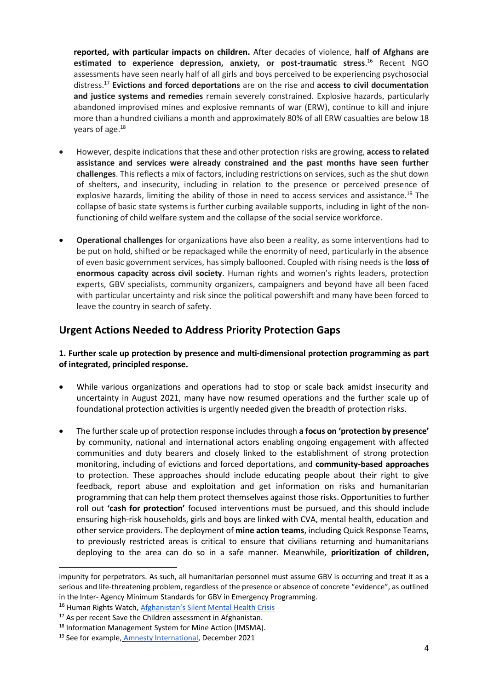**reported, with particular impacts on children.** After decades of violence, **half of Afghans are**  estimated to experience depression, anxiety, or post-traumatic stress.<sup>16</sup> Recent NGO assessments have seen nearly half of all girls and boys perceived to be experiencing psychosocial distress.<sup>17</sup> **Evictions and forced deportations** are on the rise and **access to civil documentation and justice systems and remedies** remain severely constrained. Explosive hazards, particularly abandoned improvised mines and explosive remnants of war (ERW), continue to kill and injure more than a hundred civilians a month and approximately 80% of all ERW casualties are below 18 years of age.<sup>18</sup>

- However, despite indications that these and other protection risks are growing, **access to related assistance and services were already constrained and the past months have seen further challenges**. Thisreflects a mix of factors, including restrictions on services, such as the shut down of shelters, and insecurity, including in relation to the presence or perceived presence of explosive hazards, limiting the ability of those in need to access services and assistance.<sup>19</sup> The collapse of basic state systems is further curbing available supports, including in light of the nonfunctioning of child welfare system and the collapse of the social service workforce.
- **Operational challenges** for organizations have also been a reality, as some interventions had to be put on hold, shifted or be repackaged while the enormity of need, particularly in the absence of even basic government services, has simply ballooned. Coupled with rising needs is the **loss of enormous capacity across civil society**. Human rights and women's rights leaders, protection experts, GBV specialists, community organizers, campaigners and beyond have all been faced with particular uncertainty and risk since the political powershift and many have been forced to leave the country in search of safety.

# **Urgent Actions Needed to Address Priority Protection Gaps**

## **1. Further scale up protection by presence and multi-dimensional protection programming as part of integrated, principled response.**

- While various organizations and operations had to stop or scale back amidst insecurity and uncertainty in August 2021, many have now resumed operations and the further scale up of foundational protection activities is urgently needed given the breadth of protection risks.
- The further scale up of protection response includes through **a focus on 'protection by presence'** by community, national and international actors enabling ongoing engagement with affected communities and duty bearers and closely linked to the establishment of strong protection monitoring, including of evictions and forced deportations, and **community-based approaches** to protection. These approaches should include educating people about their right to give feedback, report abuse and exploitation and get information on risks and humanitarian programming that can help them protect themselves against those risks. Opportunities to further roll out **'cash for protection'** focused interventions must be pursued, and this should include ensuring high-risk households, girls and boys are linked with CVA, mental health, education and other service providers. The deployment of **mine action teams**, including Quick Response Teams, to previously restricted areas is critical to ensure that civilians returning and humanitarians deploying to the area can do so in a safe manner. Meanwhile, **prioritization of children,**

impunity for perpetrators. As such, all humanitarian personnel must assume GBV is occurring and treat it as a serious and life-threatening problem, regardless of the presence or absence of concrete "evidence", as outlined in the Inter- Agency Minimum Standards for GBV in Emergency Programming.

<sup>&</sup>lt;sup>16</sup> Human Rights Watch, [Afghanistan's Silent Mental Health Crisis](https://www.hrw.org/news/2019/10/07/afghanistans-silent-mental-health-crisis)

<sup>&</sup>lt;sup>17</sup> As per recent Save the Children assessment in Afghanistan.

<sup>18</sup> Information Management System for Mine Action (IMSMA).

<sup>&</sup>lt;sup>19</sup> See for example, [Amnesty International,](https://www.amnesty.org/en/latest/news/2021/12/afghanistan-survivors-of-gender-based-violence-abandoned-following-taliban-takeover-new-research/) December 2021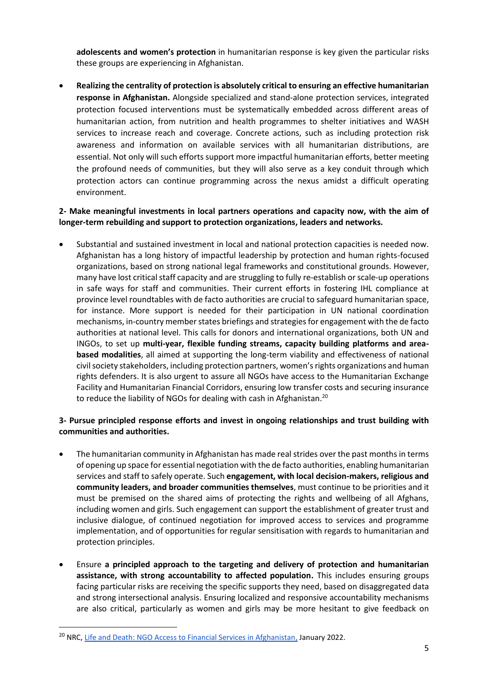**adolescents and women's protection** in humanitarian response is key given the particular risks these groups are experiencing in Afghanistan.

• **Realizing the centrality of protection is absolutely critical to ensuring an effective humanitarian response in Afghanistan.** Alongside specialized and stand-alone protection services, integrated protection focused interventions must be systematically embedded across different areas of humanitarian action, from nutrition and health programmes to shelter initiatives and WASH services to increase reach and coverage. Concrete actions, such as including protection risk awareness and information on available services with all humanitarian distributions, are essential. Not only will such efforts support more impactful humanitarian efforts, better meeting the profound needs of communities, but they will also serve as a key conduit through which protection actors can continue programming across the nexus amidst a difficult operating environment.

## **2- Make meaningful investments in local partners operations and capacity now, with the aim of longer-term rebuilding and support to protection organizations, leaders and networks.**

• Substantial and sustained investment in local and national protection capacities is needed now. Afghanistan has a long history of impactful leadership by protection and human rights-focused organizations, based on strong national legal frameworks and constitutional grounds. However, many have lost critical staff capacity and are struggling to fully re-establish or scale-up operations in safe ways for staff and communities. Their current efforts in fostering IHL compliance at province level roundtables with de facto authorities are crucial to safeguard humanitarian space, for instance. More support is needed for their participation in UN national coordination mechanisms, in-country member states briefings and strategies for engagement with the de facto authorities at national level. This calls for donors and international organizations, both UN and INGOs, to set up **multi-year, flexible funding streams, capacity building platforms and areabased modalities**, all aimed at supporting the long-term viability and effectiveness of national civil society stakeholders, including protection partners, women's rights organizations and human rights defenders. It is also urgent to assure all NGOs have access to the Humanitarian Exchange Facility and Humanitarian Financial Corridors, ensuring low transfer costs and securing insurance to reduce the liability of NGOs for dealing with cash in Afghanistan.<sup>20</sup>

## **3- Pursue principled response efforts and invest in ongoing relationships and trust building with communities and authorities.**

- The humanitarian community in Afghanistan has made real strides over the past months in terms of opening up space for essential negotiation with the de facto authorities, enabling humanitarian services and staff to safely operate. Such **engagement, with local decision-makers, religious and community leaders, and broader communities themselves**, must continue to be priorities and it must be premised on the shared aims of protecting the rights and wellbeing of all Afghans, including women and girls. Such engagement can support the establishment of greater trust and inclusive dialogue, of continued negotiation for improved access to services and programme implementation, and of opportunities for regular sensitisation with regards to humanitarian and protection principles.
- Ensure **a principled approach to the targeting and delivery of protection and humanitarian assistance, with strong accountability to affected population.** This includes ensuring groups facing particular risks are receiving the specific supports they need, based on disaggregated data and strong intersectional analysis. Ensuring localized and responsive accountability mechanisms are also critical, particularly as women and girls may be more hesitant to give feedback on

<sup>&</sup>lt;sup>20</sup> NRC, [Life and Death: NGO Access to Financial Services in Afghanistan,](https://www.nrc.no/resources/reports/life-and-death-ngo-access-to-financial-services-in-afghanistan/) January 2022.